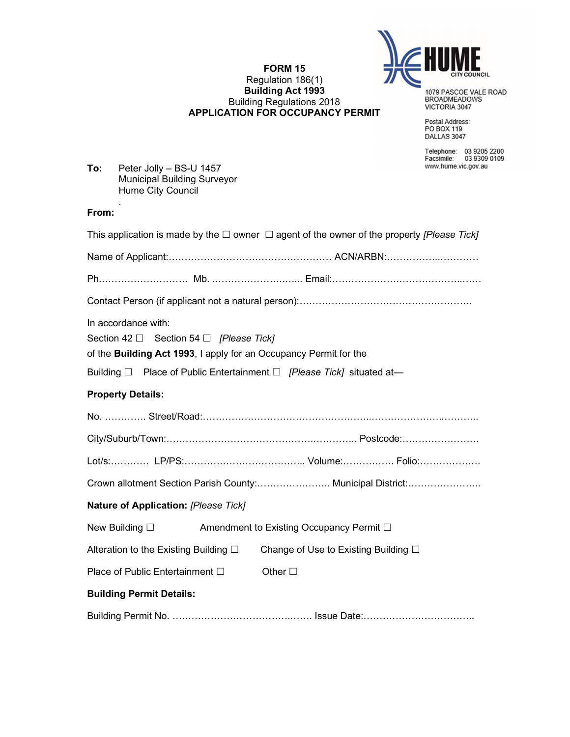

#### FORM 15 Regulation 186(1) Building Act 1993 Building Regulations 2018 APPLICATION FOR OCCUPANCY PERMIT

1079 PASCOE VALE ROAD<br>BROADMEADOWS<br>VICTORIA 3047

Postal Address:<br>PO BOX 119<br>DALLAS 3047

Telephone: 03 9205 2200<br>Facsimile: 03 9309 0109<br>www.hume.vic.gov.au

| To: | Peter Jolly - BS-U 1457            |
|-----|------------------------------------|
|     | <b>Municipal Building Surveyor</b> |
|     | Hume City Council                  |
|     | ٠                                  |

### From:

| This application is made by the $\Box$ owner $\Box$ agent of the owner of the property [Please Tick]                                          |  |  |  |  |  |
|-----------------------------------------------------------------------------------------------------------------------------------------------|--|--|--|--|--|
|                                                                                                                                               |  |  |  |  |  |
|                                                                                                                                               |  |  |  |  |  |
|                                                                                                                                               |  |  |  |  |  |
| In accordance with:<br>Section 42 $\Box$ Section 54 $\Box$ [Please Tick]<br>of the Building Act 1993, I apply for an Occupancy Permit for the |  |  |  |  |  |
| Building $\Box$ Place of Public Entertainment $\Box$ [Please Tick] situated at-                                                               |  |  |  |  |  |
| <b>Property Details:</b>                                                                                                                      |  |  |  |  |  |
|                                                                                                                                               |  |  |  |  |  |
|                                                                                                                                               |  |  |  |  |  |
|                                                                                                                                               |  |  |  |  |  |
| Crown allotment Section Parish County: Municipal District:                                                                                    |  |  |  |  |  |
| Nature of Application: [Please Tick]                                                                                                          |  |  |  |  |  |
| New Building $\square$<br>Amendment to Existing Occupancy Permit □                                                                            |  |  |  |  |  |
| Alteration to the Existing Building $\square$<br>Change of Use to Existing Building □                                                         |  |  |  |  |  |
| Place of Public Entertainment □<br>Other $\square$                                                                                            |  |  |  |  |  |
| <b>Building Permit Details:</b>                                                                                                               |  |  |  |  |  |
|                                                                                                                                               |  |  |  |  |  |